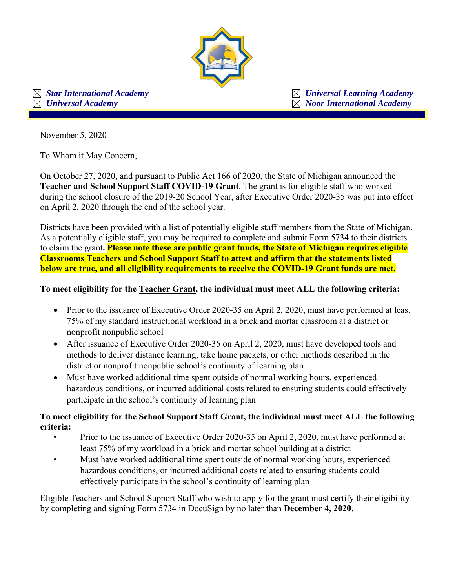

 *Star International Academy Universal Learning Academy*  $\boxtimes$  *Universal Academy*  $\boxtimes$  *Noor International Academy* 

November 5, 2020

To Whom it May Concern,

On October 27, 2020, and pursuant to Public Act 166 of 2020, the State of Michigan announced the **Teacher and School Support Staff COVID-19 Grant**. The grant is for eligible staff who worked during the school closure of the 2019-20 School Year, after Executive Order 2020-35 was put into effect on April 2, 2020 through the end of the school year.

Districts have been provided with a list of potentially eligible staff members from the State of Michigan. As a potentially eligible staff, you may be required to complete and submit Form 5734 to their districts to claim the grant**. Please note these are public grant funds, the State of Michigan requires eligible Classrooms Teachers and School Support Staff to attest and affirm that the statements listed below are true, and all eligibility requirements to receive the COVID-19 Grant funds are met.** 

## **To meet eligibility for the Teacher Grant, the individual must meet ALL the following criteria:**

- Prior to the issuance of Executive Order 2020-35 on April 2, 2020, must have performed at least 75% of my standard instructional workload in a brick and mortar classroom at a district or nonprofit nonpublic school
- After issuance of Executive Order 2020-35 on April 2, 2020, must have developed tools and methods to deliver distance learning, take home packets, or other methods described in the district or nonprofit nonpublic school's continuity of learning plan
- Must have worked additional time spent outside of normal working hours, experienced hazardous conditions, or incurred additional costs related to ensuring students could effectively participate in the school's continuity of learning plan

**To meet eligibility for the School Support Staff Grant, the individual must meet ALL the following criteria:** 

- Prior to the issuance of Executive Order 2020-35 on April 2, 2020, must have performed at least 75% of my workload in a brick and mortar school building at a district
- Must have worked additional time spent outside of normal working hours, experienced hazardous conditions, or incurred additional costs related to ensuring students could effectively participate in the school's continuity of learning plan

Eligible Teachers and School Support Staff who wish to apply for the grant must certify their eligibility by completing and signing Form 5734 in DocuSign by no later than **December 4, 2020**.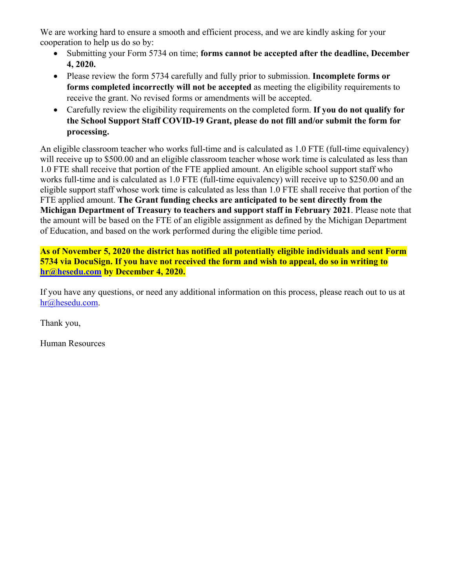We are working hard to ensure a smooth and efficient process, and we are kindly asking for your cooperation to help us do so by:

- Submitting your Form 5734 on time; **forms cannot be accepted after the deadline, December 4, 2020.**
- Please review the form 5734 carefully and fully prior to submission. **Incomplete forms or forms completed incorrectly will not be accepted** as meeting the eligibility requirements to receive the grant. No revised forms or amendments will be accepted.
- Carefully review the eligibility requirements on the completed form. **If you do not qualify for the School Support Staff COVID-19 Grant, please do not fill and/or submit the form for processing.**

An eligible classroom teacher who works full-time and is calculated as 1.0 FTE (full-time equivalency) will receive up to \$500.00 and an eligible classroom teacher whose work time is calculated as less than 1.0 FTE shall receive that portion of the FTE applied amount. An eligible school support staff who works full-time and is calculated as 1.0 FTE (full-time equivalency) will receive up to \$250.00 and an eligible support staff whose work time is calculated as less than 1.0 FTE shall receive that portion of the FTE applied amount. **The Grant funding checks are anticipated to be sent directly from the Michigan Department of Treasury to teachers and support staff in February 2021**. Please note that the amount will be based on the FTE of an eligible assignment as defined by the Michigan Department of Education, and based on the work performed during the eligible time period.

**As of November 5, 2020 the district has notified all potentially eligible individuals and sent Form 5734 via DocuSign. If you have not received the form and wish to appeal, do so in writing to hr@hesedu.com by December 4, 2020.** 

If you have any questions, or need any additional information on this process, please reach out to us at hr@hesedu.com.

Thank you,

Human Resources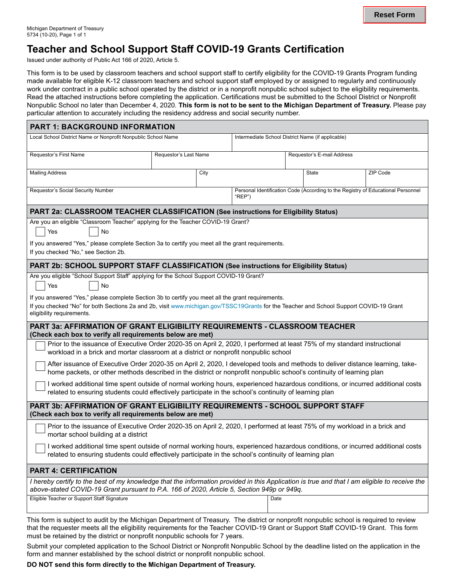# **Teacher and School Support Staff COVID-19 Grants Certification**

Issued under authority of Public Act 166 of 2020, Article 5.

This form is to be used by classroom teachers and school support staff to certify eligibility for the COVID-19 Grants Program funding made available for eligible K-12 classroom teachers and school support staff employed by or assigned to regularly and continuously work under contract in a public school operated by the district or in a nonprofit nonpublic school subject to the eligibility requirements. Read the attached instructions before completing the application. Certifications must be submitted to the School District or Nonprofit Nonpublic School no later than December 4, 2020. **This form is not to be sent to the Michigan Department of Treasury.** Please pay particular attention to accurately including the residency address and social security number.

| <b>PART 1: BACKGROUND INFORMATION</b>                                                                                                                                                                                                                                    |                       |      |                                                                                            |                            |       |          |
|--------------------------------------------------------------------------------------------------------------------------------------------------------------------------------------------------------------------------------------------------------------------------|-----------------------|------|--------------------------------------------------------------------------------------------|----------------------------|-------|----------|
| Local School District Name or Nonprofit Nonpublic School Name                                                                                                                                                                                                            |                       |      | Intermediate School District Name (if applicable)                                          |                            |       |          |
| Requestor's First Name                                                                                                                                                                                                                                                   | Requestor's Last Name |      |                                                                                            | Requestor's E-mail Address |       |          |
| <b>Mailing Address</b>                                                                                                                                                                                                                                                   |                       | City |                                                                                            |                            | State | ZIP Code |
| Requestor's Social Security Number                                                                                                                                                                                                                                       |                       |      | Personal Identification Code (According to the Registry of Educational Personnel<br>"REP") |                            |       |          |
| PART 2a: CLASSROOM TEACHER CLASSIFICATION (See instructions for Eligibility Status)                                                                                                                                                                                      |                       |      |                                                                                            |                            |       |          |
| Are you an eligible "Classroom Teacher" applying for the Teacher COVID-19 Grant?<br>No<br>Yes                                                                                                                                                                            |                       |      |                                                                                            |                            |       |          |
| If you answered "Yes," please complete Section 3a to certify you meet all the grant requirements.<br>If you checked "No," see Section 2b.                                                                                                                                |                       |      |                                                                                            |                            |       |          |
| PART 2b: SCHOOL SUPPORT STAFF CLASSIFICATION (See instructions for Eligibility Status)                                                                                                                                                                                   |                       |      |                                                                                            |                            |       |          |
| Are you eligible "School Support Staff" applying for the School Support COVID-19 Grant?<br>Yes<br>No                                                                                                                                                                     |                       |      |                                                                                            |                            |       |          |
| If you answered "Yes," please complete Section 3b to certify you meet all the grant requirements.<br>If you checked "No" for both Sections 2a and 2b, visit www.michigan.gov/TSSC19Grants for the Teacher and School Support COVID-19 Grant<br>eligibility requirements. |                       |      |                                                                                            |                            |       |          |
| <b>PART 3a: AFFIRMATION OF GRANT ELIGIBILITY REQUIREMENTS - CLASSROOM TEACHER</b><br>(Check each box to verify all requirements below are met)                                                                                                                           |                       |      |                                                                                            |                            |       |          |
| Prior to the issuance of Executive Order 2020-35 on April 2, 2020, I performed at least 75% of my standard instructional<br>workload in a brick and mortar classroom at a district or nonprofit nonpublic school                                                         |                       |      |                                                                                            |                            |       |          |
| After issuance of Executive Order 2020-35 on April 2, 2020, I developed tools and methods to deliver distance learning, take-<br>home packets, or other methods described in the district or nonprofit nonpublic school's continuity of learning plan                    |                       |      |                                                                                            |                            |       |          |
| I worked additional time spent outside of normal working hours, experienced hazardous conditions, or incurred additional costs<br>related to ensuring students could effectively participate in the school's continuity of learning plan                                 |                       |      |                                                                                            |                            |       |          |
| PART 3b: AFFIRMATION OF GRANT ELIGIBILITY REQUIREMENTS - SCHOOL SUPPORT STAFF<br>(Check each box to verify all requirements below are met)                                                                                                                               |                       |      |                                                                                            |                            |       |          |
| Prior to the issuance of Executive Order 2020-35 on April 2, 2020, I performed at least 75% of my workload in a brick and<br>mortar school building at a district                                                                                                        |                       |      |                                                                                            |                            |       |          |
| I worked additional time spent outside of normal working hours, experienced hazardous conditions, or incurred additional costs<br>related to ensuring students could effectively participate in the school's continuity of learning plan                                 |                       |      |                                                                                            |                            |       |          |
| <b>PART 4: CERTIFICATION</b>                                                                                                                                                                                                                                             |                       |      |                                                                                            |                            |       |          |
| I hereby certify to the best of my knowledge that the information provided in this Application is true and that I am eligible to receive the<br>above-stated COVID-19 Grant pursuant to P.A. 166 of 2020, Article 5, Section 949p or 949q.                               |                       |      |                                                                                            |                            |       |          |
| Eligible Teacher or Support Staff Signature                                                                                                                                                                                                                              |                       | Date |                                                                                            |                            |       |          |
|                                                                                                                                                                                                                                                                          |                       |      |                                                                                            |                            |       |          |

This form is subject to audit by the Michigan Department of Treasury. The district or nonprofit nonpublic school is required to review that the requester meets all the eligibility requirements for the Teacher COVID-19 Grant or Support Staff COVID-19 Grant. This form must be retained by the district or nonprofit nonpublic schools for 7 years.

Submit your completed application to the School District or Nonprofit Nonpublic School by the deadline listed on the application in the form and manner established by the school district or nonprofit nonpublic school.

**DO NOT send this form directly to the Michigan Department of Treasury.**